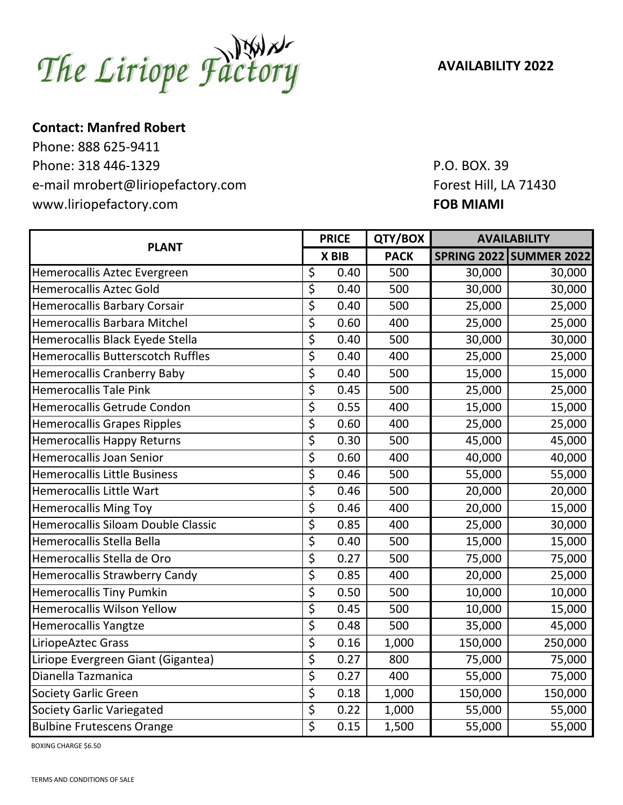The Liriope Factory

**AVAILABILITY 2022**

## **Contact: Manfred Robert**

Phone: 888 625-9411 Phone: 318 446-1329 Phone: 318 446-1329 e-mail mrobert@liriopefactory.com Forest Hill, LA 71430 www.liriopefactory.com **FOB MIAMI** 

| <b>PLANT</b>                             | <b>PRICE</b>             |       | QTY/BOX     | <b>AVAILABILITY</b> |                                |
|------------------------------------------|--------------------------|-------|-------------|---------------------|--------------------------------|
|                                          |                          | X BIB | <b>PACK</b> |                     | <b>SPRING 2022 SUMMER 2022</b> |
| Hemerocallis Aztec Evergreen             | \$                       | 0.40  | 500         | 30,000              | 30,000                         |
| <b>Hemerocallis Aztec Gold</b>           | \$                       | 0.40  | 500         | 30,000              | 30,000                         |
| <b>Hemerocallis Barbary Corsair</b>      | \$                       | 0.40  | 500         | 25,000              | 25,000                         |
| Hemerocallis Barbara Mitchel             | $\overline{\mathcal{S}}$ | 0.60  | 400         | 25,000              | 25,000                         |
| Hemerocallis Black Eyede Stella          | \$                       | 0.40  | 500         | 30,000              | 30,000                         |
| <b>Hemerocallis Butterscotch Ruffles</b> | \$                       | 0.40  | 400         | 25,000              | 25,000                         |
| Hemerocallis Cranberry Baby              | \$                       | 0.40  | 500         | 15,000              | 15,000                         |
| <b>Hemerocallis Tale Pink</b>            | \$                       | 0.45  | 500         | 25,000              | 25,000                         |
| Hemerocallis Getrude Condon              | \$                       | 0.55  | 400         | 15,000              | 15,000                         |
| <b>Hemerocallis Grapes Ripples</b>       | \$                       | 0.60  | 400         | 25,000              | 25,000                         |
| <b>Hemerocallis Happy Returns</b>        | \$                       | 0.30  | 500         | 45,000              | 45,000                         |
| <b>Hemerocallis Joan Senior</b>          | \$                       | 0.60  | 400         | 40,000              | 40,000                         |
| <b>Hemerocallis Little Business</b>      | \$                       | 0.46  | 500         | 55,000              | 55,000                         |
| Hemerocallis Little Wart                 | \$                       | 0.46  | 500         | 20,000              | 20,000                         |
| <b>Hemerocallis Ming Toy</b>             | \$                       | 0.46  | 400         | 20,000              | 15,000                         |
| Hemerocallis Siloam Double Classic       | \$                       | 0.85  | 400         | 25,000              | 30,000                         |
| Hemerocallis Stella Bella                | \$                       | 0.40  | 500         | 15,000              | 15,000                         |
| Hemerocallis Stella de Oro               | \$                       | 0.27  | 500         | 75,000              | 75,000                         |
| <b>Hemerocallis Strawberry Candy</b>     | $\overline{\xi}$         | 0.85  | 400         | 20,000              | 25,000                         |
| <b>Hemerocallis Tiny Pumkin</b>          | \$                       | 0.50  | 500         | 10,000              | 10,000                         |
| <b>Hemerocallis Wilson Yellow</b>        | \$                       | 0.45  | 500         | 10,000              | 15,000                         |
| Hemerocallis Yangtze                     | \$                       | 0.48  | 500         | 35,000              | 45,000                         |
| LiriopeAztec Grass                       | \$                       | 0.16  | 1,000       | 150,000             | 250,000                        |
| Liriope Evergreen Giant (Gigantea)       | \$                       | 0.27  | 800         | 75,000              | 75,000                         |
| Dianella Tazmanica                       | \$                       | 0.27  | 400         | 55,000              | 75,000                         |
| <b>Society Garlic Green</b>              | \$                       | 0.18  | 1,000       | 150,000             | 150,000                        |
| <b>Society Garlic Variegated</b>         | \$                       | 0.22  | 1,000       | 55,000              | 55,000                         |
| <b>Bulbine Frutescens Orange</b>         | \$                       | 0.15  | 1,500       | 55,000              | 55,000                         |

BOXING CHARGE \$6.50